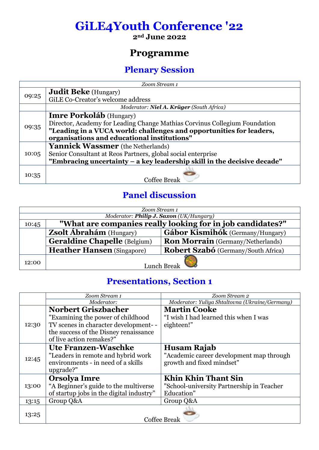## **GiLE4Youth Conference '22**

**2nd June 2022**

## **Programme**

## **Plenary Session**

| Zoom Stream 1 |                                                                            |  |
|---------------|----------------------------------------------------------------------------|--|
| 09:25         | <b>Judit Beke</b> (Hungary)                                                |  |
|               | GiLE Co-Creator's welcome address                                          |  |
|               | Moderator: Niel A. Krüger (South Africa)                                   |  |
|               | <b>Imre Porkoláb</b> (Hungary)                                             |  |
|               | Director, Academy for Leading Change Mathias Corvinus Collegium Foundation |  |
| 09:35         | "Leading in a VUCA world: challenges and opportunities for leaders,        |  |
|               | organisations and educational institutions"                                |  |
|               | <b>Yannick Wassmer</b> (the Netherlands)                                   |  |
| 10:05         | Senior Consultant at Reos Partners, global social enterprise               |  |
|               | "Embracing uncertainty - a key leadership skill in the decisive decade"    |  |
| 10:35         |                                                                            |  |
|               | <b>Coffee Break</b>                                                        |  |

## **Panel discussion**

| Zoom Stream 1                           |                                                            |                                          |  |
|-----------------------------------------|------------------------------------------------------------|------------------------------------------|--|
| Moderator: Philip J. Saxon (UK/Hungary) |                                                            |                                          |  |
| 10:45                                   | "What are companies really looking for in job candidates?" |                                          |  |
|                                         | <b>Zsolt Ábrahám</b> (Hungary)                             | Gábor Kismihók (Germany/Hungary)         |  |
|                                         | <b>Geraldine Chapelle</b> (Belgium)                        | <b>Ron Morrain</b> (Germany/Netherlands) |  |
|                                         | <b>Heather Hansen</b> (Singapore)                          | Robert Szabó (Germany/South Africa)      |  |
| 12:00                                   | Lunch Break                                                |                                          |  |

#### **Presentations, Section 1**

|       | Zoom Stream 1                            | Zoom Stream 2                                  |
|-------|------------------------------------------|------------------------------------------------|
|       | Moderator:                               | Moderator: Yuliya Shtaltovna (Ukraine/Germany) |
|       | <b>Norbert Griszbacher</b>               | <b>Martin Cooke</b>                            |
|       | "Examining the power of childhood"       | "I wish I had learned this when I was          |
| 12:30 | TV scenes in character development--     | eighteen!"                                     |
|       | the success of the Disney renaissance    |                                                |
|       | of live action remakes?"                 |                                                |
|       | Ute Franzen-Waschke                      | Husam Rajab                                    |
| 12:45 | "Leaders in remote and hybrid work       | "Academic career development map through       |
|       | environments - in need of a skills       | growth and fixed mindset"                      |
|       | upgrade?"                                |                                                |
|       | <b>Orsolya Imre</b>                      | Khin Khin Thant Sin                            |
| 13:00 | "A Beginner's guide to the multiverse    | "School-university Partnership in Teacher      |
|       | of startup jobs in the digital industry" | Education"                                     |
| 13:15 | Group Q&A                                | Group Q&A                                      |
| 13:25 |                                          |                                                |
|       |                                          | <b>Coffee Break</b>                            |
|       |                                          |                                                |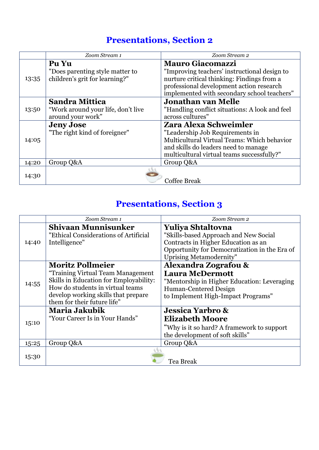## **Presentations, Section 2**

|       | Zoom Stream 1                                                     | Zoom Stream 2                                                                                                                                                                         |
|-------|-------------------------------------------------------------------|---------------------------------------------------------------------------------------------------------------------------------------------------------------------------------------|
|       | Pu Yu                                                             | <b>Mauro Giacomazzi</b>                                                                                                                                                               |
| 13:35 | "Does parenting style matter to<br>children's grit for learning?" | "Improving teachers' instructional design to<br>nurture critical thinking: Findings from a<br>professional development action research<br>implemented with secondary school teachers" |
|       | Sandra Mittica                                                    | <b>Jonathan van Melle</b>                                                                                                                                                             |
| 13:50 | "Work around your life, don't live                                | "Handling conflict situations: A look and feel                                                                                                                                        |
|       | around your work"                                                 | across cultures"                                                                                                                                                                      |
|       | <b>Jeny Jose</b>                                                  | Zara Alexa Schweimler                                                                                                                                                                 |
|       | "The right kind of foreigner"                                     | "Leadership Job Requirements in                                                                                                                                                       |
| 14:05 |                                                                   | Multicultural Virtual Teams: Which behavior                                                                                                                                           |
|       |                                                                   | and skills do leaders need to manage                                                                                                                                                  |
|       |                                                                   | multicultural virtual teams successfully?"                                                                                                                                            |
| 14:20 | Group Q&A                                                         | Group Q&A                                                                                                                                                                             |
| 14:30 |                                                                   |                                                                                                                                                                                       |
|       |                                                                   | <b>Coffee Break</b>                                                                                                                                                                   |

## **Presentations, Section 3**

|       | Zoom Stream 1                                                                                                                                                                                                    | Zoom Stream 2                                                                                                                                                                               |
|-------|------------------------------------------------------------------------------------------------------------------------------------------------------------------------------------------------------------------|---------------------------------------------------------------------------------------------------------------------------------------------------------------------------------------------|
| 14:40 | <b>Shivaan Munnisunker</b><br>"Ethical Considerations of Artificial<br>Intelligence"                                                                                                                             | <b>Yuliya Shtaltovna</b><br>"Skills-based Approach and New Social<br>Contracts in Higher Education as an<br>Opportunity for Democratization in the Era of<br><b>Uprising Metamodernity"</b> |
| 14:55 | <b>Moritz Pollmeier</b><br>"Training Virtual Team Management<br>Skills in Education for Employability:<br>How do students in virtual teams<br>develop working skills that prepare<br>them for their future life" | Alexandra Zografou &<br><b>Laura McDermott</b><br>"Mentorship in Higher Education: Leveraging<br>Human-Centered Design<br>to Implement High-Impact Programs"                                |
| 15:10 | Maria Jakubik<br>"Your Career Is in Your Hands"                                                                                                                                                                  | <b>Jessica Yarbro &amp;</b><br><b>Elizabeth Moore</b><br>"Why is it so hard? A framework to support<br>the development of soft skills"                                                      |
| 15:25 | Group Q&A                                                                                                                                                                                                        | Group Q&A                                                                                                                                                                                   |
| 15:30 |                                                                                                                                                                                                                  | Tea Break                                                                                                                                                                                   |